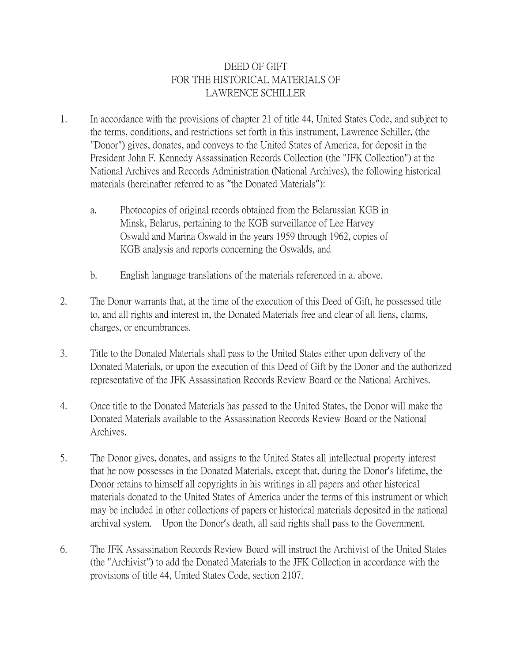## DEED OF GIFT FOR THE HISTORICAL MATERIALS OF LAWRENCE SCHILLER

- 1. In accordance with the provisions of chapter 21 of title 44, United States Code, and subject to the terms, conditions, and restrictions set forth in this instrument, Lawrence Schiller, (the "Donor") gives, donates, and conveys to the United States of America, for deposit in the President John F. Kennedy Assassination Records Collection (the "JFK Collection") at the National Archives and Records Administration (National Archives), the following historical materials (hereinafter referred to as "the Donated Materials"):
	- a. Photocopies of original records obtained from the Belarussian KGB in Minsk, Belarus, pertaining to the KGB surveillance of Lee Harvey Oswald and Marina Oswald in the years 1959 through 1962, copies of KGB analysis and reports concerning the Oswalds, and
	- b. English language translations of the materials referenced in a. above.
- 2. The Donor warrants that, at the time of the execution of this Deed of Gift, he possessed title to, and all rights and interest in, the Donated Materials free and clear of all liens, claims, charges, or encumbrances.
- 3. Title to the Donated Materials shall pass to the United States either upon delivery of the Donated Materials, or upon the execution of this Deed of Gift by the Donor and the authorized representative of the JFK Assassination Records Review Board or the National Archives.
- 4. Once title to the Donated Materials has passed to the United States, the Donor will make the Donated Materials available to the Assassination Records Review Board or the National Archives.
- 5. The Donor gives, donates, and assigns to the United States all intellectual property interest that he now possesses in the Donated Materials, except that, during the Donor's lifetime, the Donor retains to himself all copyrights in his writings in all papers and other historical materials donated to the United States of America under the terms of this instrument or which may be included in other collections of papers or historical materials deposited in the national archival system. Upon the Donor's death, all said rights shall pass to the Government.
- 6. The JFK Assassination Records Review Board will instruct the Archivist of the United States (the "Archivist") to add the Donated Materials to the JFK Collection in accordance with the provisions of title 44, United States Code, section 2107.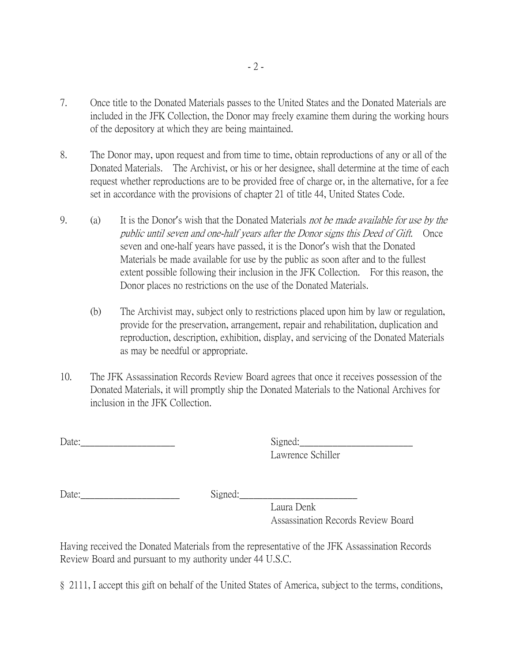- 7. Once title to the Donated Materials passes to the United States and the Donated Materials are included in the JFK Collection, the Donor may freely examine them during the working hours of the depository at which they are being maintained.
- 8. The Donor may, upon request and from time to time, obtain reproductions of any or all of the Donated Materials. The Archivist, or his or her designee, shall determine at the time of each request whether reproductions are to be provided free of charge or, in the alternative, for a fee set in accordance with the provisions of chapter 21 of title 44, United States Code.
- 9. (a) It is the Donor's wish that the Donated Materials not be made available for use by the public until seven and one-half years after the Donor signs this Deed of Gift. Once seven and one-half years have passed, it is the Donor's wish that the Donated Materials be made available for use by the public as soon after and to the fullest extent possible following their inclusion in the JFK Collection. For this reason, the Donor places no restrictions on the use of the Donated Materials.
	- (b) The Archivist may, subject only to restrictions placed upon him by law or regulation, provide for the preservation, arrangement, repair and rehabilitation, duplication and reproduction, description, exhibition, display, and servicing of the Donated Materials as may be needful or appropriate.
- 10. The JFK Assassination Records Review Board agrees that once it receives possession of the Donated Materials, it will promptly ship the Donated Materials to the National Archives for inclusion in the JFK Collection.

Date: Signed:

Lawrence Schiller

Date: Signed:

Laura Denk Assassination Records Review Board

Having received the Donated Materials from the representative of the JFK Assassination Records Review Board and pursuant to my authority under 44 U.S.C.

§ 2111, I accept this gift on behalf of the United States of America, subject to the terms, conditions,